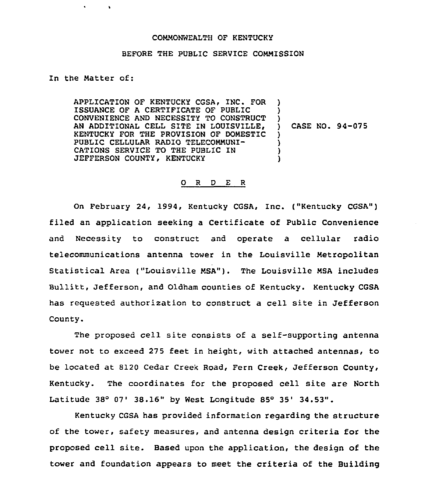## COMMONWEALTH OF KENTUCKY

## BEFORE THE PUBLIC SERVICE COMMISSION

In the Matter of:

APPLICATION OF KENTUCKY CGSA, INC. FOR ISSUANCE OF A CERTIFICATE OF PUBLIC CONVENIENCE AND NECESSITY TO CONSTRUCT AN ADDITIONAL CELL SITE IN LOUISVILLE, KENTUCKY FOR THE PROVISION OF DOMESTIC PUBLIC CELLULAR RADIO TELECOMMUNI-CATIONS SERVICE TO THE PUBLIC IN JEFFERSON COUNTY, KENTUCKY ) ) )<br>) ) CASE NO. 94-075  $\mathbf{I}$ ) ) )

## 0 <sup>R</sup> <sup>D</sup> E <sup>R</sup>

On February 24, 1994, Kentucky CGSA, Inc. ("Kentucky CGSA") filed an application seeking a Certificate of Public Convenience and Necessity to construct and operate a cellular radio telecommunications antenna tower in the Louisville Metropolitan statistical Area ("Louisville MsA"). The Louisville MsA includes Bullitt, Jefferson, and Oldham counties of Kentucky. Kentucky CGSA has requested authorization to construct a cell site in Jefferson County.

The proposed cell site consists of a self-supporting antenna tower not to exceed 275 feet in height, with attached antennas, to be located at 8120 Cedar Creek Road, Fern Creek, Jefferson County, Kentucky. The coordinates for the proposed cell site are North Latitude  $38^{\circ}$  07'  $38.16"$  by West Longitude  $85^{\circ}$   $35'$   $34.53"$ .

Kentucky CGSA has provided information regarding the structure of the tower, safety measures, and antenna design criteria for the proposed cell site. Based upon the application, the design of the tower and foundation appears to meet the criteria of the Building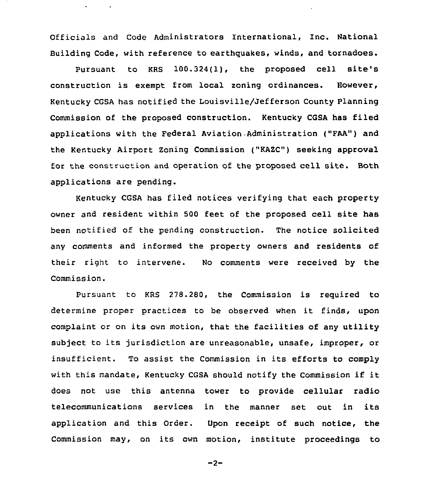Officials and Code Administrators International, Inc. National Building Code, with reference to earthquakes, winds, and tornadoes.

Pursuant to KRS 100.324(1), the proposed cell site's construction is exempt from local zoning ordinances. However, Kentucky CGSA has notified the Louisville/Jefferson County Planning Commission of the proposed construction. Kentucky CGSA has filed applications with the Federal Aviation Administration ("FAA") and the Kentucky Airport Zoning Commission ("KAZC") seeking approval for the construction and operation of the proposed cell site. Both applications are pending.

Kentucky CGSA has filed notices verifying that each property owner and resident within 500 feet of the proposed cell site has been notified of the pending construction. The notice solicited any comments and informed the property owners and residents of their right to intervene. No comments were received by the Commission.

Pursuant to KRS 278.280, the Commission is required to determine proper practices to be observed when it finds, upon complaint or on its own motion, that the facilities of any utility subject to its jurisdiction are unreasonable, unsafe, improper, or insufficient. To assist the Commission in its efforts to comply with this mandate, Kentucky CGSA should notify the Commission if it does not use this antenna tower to provide cellular radio telecommunications services in the manner set out in its application and this Order. Upon receipt of such notice, the Commission may, on its own motion, institute proceedings to

$$
-2 -
$$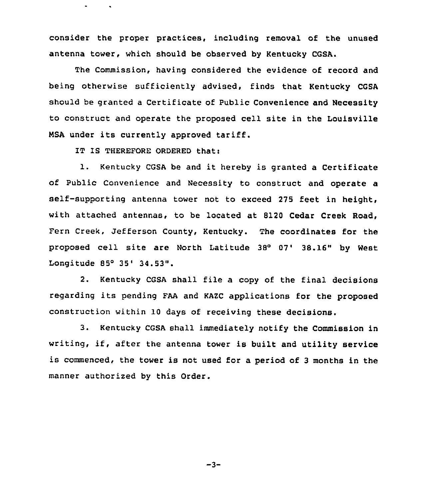consider the proper practices, including removal of the unused antenna tower, which should be observed by Kentucky CGSA.

The Commission, having considered the evidence of record and being otherwise sufficiently advised, finds that Kentucky CGSA should be granted a Certificate of Public Convenience and Necessity to construct and operate the proposed cell site in the Louisville NSA under its currently approved tariff.

IT IS THEREFORE ORDERED that:

1. Kentucky CGSA be and it hereby is granted <sup>a</sup> Certificate of Public Convenience and Necessity to construct and operate a self-supporting antenna tower not to exceed 275 feet in height, with attached antennas, to be located at 8120 Cedar Creek Road, Fern Creek, Jefferson County, Kentucky. The coordinates for the proposed cell site are North Latitude 38° 07' 38.16" by West Longitude 85° 35' 34.53".

2. Kentucky CGSA shall file a copy of the final decisions regarding its pending FAA and KAKC applications for the proposed construction within 10 days of receiving these decisions.

3. Kentucky CGSA shall immediately notify the Commission in writing, if, after the antenna tower is built and utility service is commenced, the tower is not used for a period of <sup>3</sup> months in the manner authorized by this Order.

 $-3-$